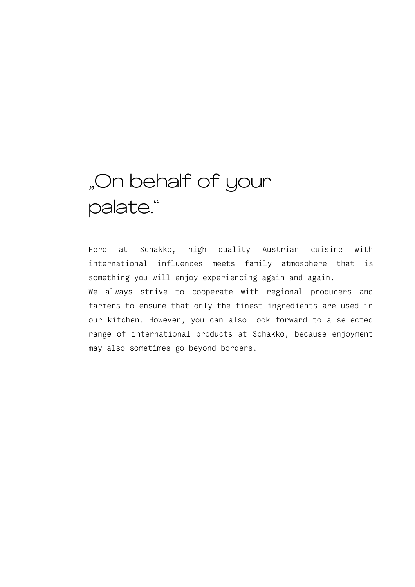# "On behalf of your palate."

Here at Schakko, high quality Austrian cuisine with international influences meets family atmosphere that is something you will enjoy experiencing again and again. We always strive to cooperate with regional producers and

farmers to ensure that only the finest ingredients are used in our kitchen. However, you can also look forward to a selected range of international products at Schakko, because enjoyment may also sometimes go beyond borders.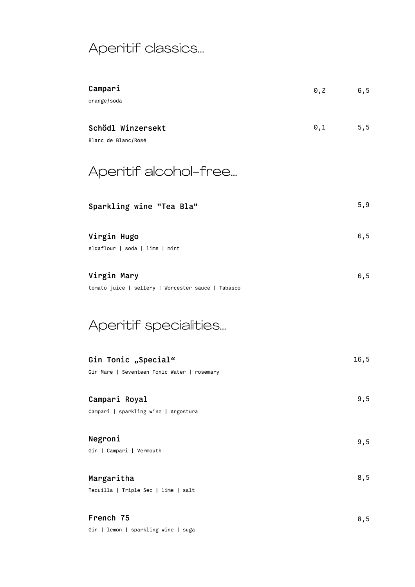# Aperitif classics…

| Campari<br>orange/soda                                             | $0,2$ 6,5    |      |
|--------------------------------------------------------------------|--------------|------|
| Schödl Winzersekt<br>Blanc de Blanc/Rosé                           | $\theta$ , 1 | 5, 5 |
| Aperitif alcohol-free                                              |              |      |
| Sparkling wine "Tea Bla"                                           |              | 5, 9 |
| Virgin Hugo<br>eldaflour   soda   lime   mint                      |              | 6, 5 |
| Virgin Mary<br>tomato juice   sellery   Worcester sauce   Tabasco  |              | 6, 5 |
| Aperitif specialities                                              |              |      |
| Gin Tonic "Special"<br>Gin Mare   Seventeen Tonic Water   rosemary |              | 16,5 |
| Campari Royal<br>Campari   sparkling wine   Angostura              |              | 9, 5 |
| Negroni<br>Gin   Campari   Vermouth                                |              | 9,5  |
| Margaritha<br>Tequilla   Triple Sec   lime   salt                  |              | 8,5  |
| French 75<br>Gin   lemon   sparkling wine   suga                   |              | 8,5  |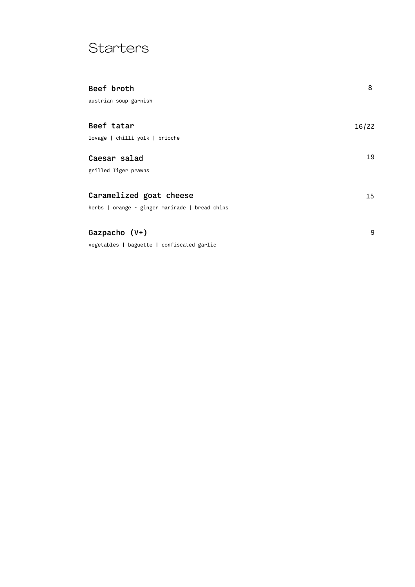## **Starters**

| Beef broth                                     | 8     |
|------------------------------------------------|-------|
| austrian soup garnish                          |       |
|                                                |       |
| Beef tatar                                     | 16/22 |
| lovage   chilli yolk   brioche                 |       |
| Caesar salad                                   | 19    |
| grilled Tiger prawns                           |       |
| Caramelized goat cheese                        | 15    |
| herbs   orange - ginger marinade   bread chips |       |
|                                                |       |
| Gazpacho $(V+)$                                | 9     |
| vegetables   baguette   confiscated garlic     |       |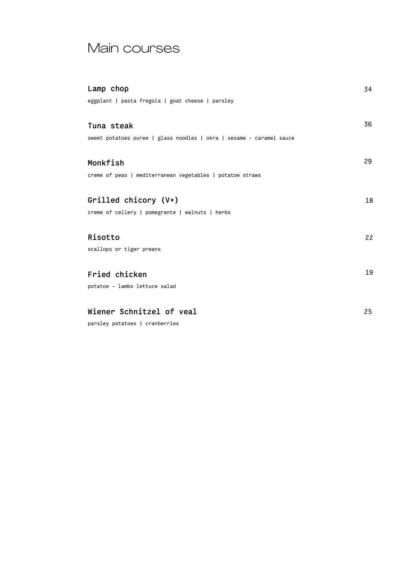### Main courses

| Lamp chop                                                            | 34 |
|----------------------------------------------------------------------|----|
| eggplant   pasta fregola   goat cheese   parsley                     |    |
| Tuna steak                                                           | 36 |
| sweet potatoes puree   glass noodles   okra   sesame - caramel sauce |    |
| Monkfish                                                             | 29 |
| creme of peas   mediterranean vegetables   potatoe straws            |    |
| Grilled chicory (V+)                                                 | 18 |
| creme of cellery   pomegrante   walnuts   herbs                      |    |
| <b>Risotto</b>                                                       | 22 |
| scallops or tiger prwans                                             |    |
| Fried chicken                                                        | 19 |
| potatoe - lambs lettuce salad                                        |    |
| Wiener Schnitzel of veal                                             | 25 |

parsley potatoes | cranberries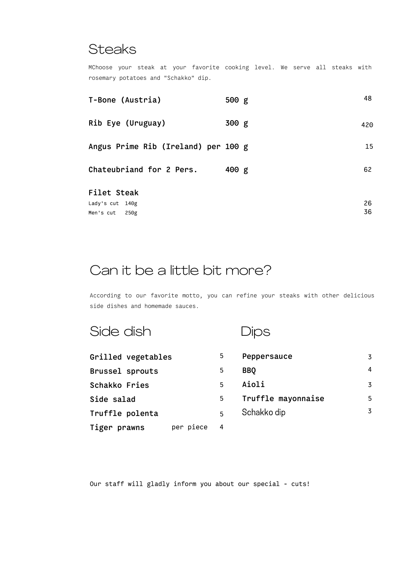#### **Steaks**

MChoose your steak at your favorite cooking level. We serve all steaks with rosemary potatoes and "Schakko" dip.

| T-Bone (Austria)                     | 500 g | 48       |
|--------------------------------------|-------|----------|
| Rib Eye (Uruguay)                    | 300 g | 420      |
| Angus Prime Rib (Ireland) per 100 g  |       | 15       |
| Chateubriand for 2 Pers.             | 400 g | 62       |
| Filet Steak                          |       |          |
| Lady's cut 140g<br>Men's cut<br>250g |       | 26<br>36 |

## Can it be a little bit more?

According to our favorite motto, you can refine your steaks with other delicious side dishes and homemade sauces.

| Side dish                 |                | ОS                 |                |
|---------------------------|----------------|--------------------|----------------|
| Grilled vegetables        | 5              | Peppersauce        | 3              |
| Brussel sprouts           | 5              | <b>BBQ</b>         | $\overline{4}$ |
| Schakko Fries             | $\overline{5}$ | Aioli              | 3              |
| Side salad                | 5              | Truffle mayonnaise | 5              |
| Truffle polenta           | 5              | Schakko dip        | $\overline{3}$ |
| per piece<br>Tiger prawns | 4              |                    |                |

Our staff will gladly inform you about our special - cuts!